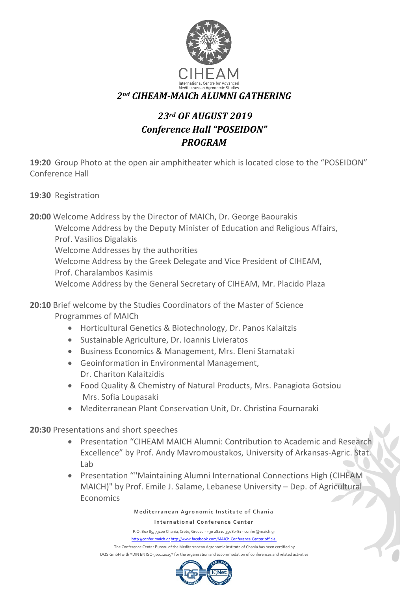

## *23rd OF AUGUST 2019 Conference Hall "POSEIDON" PROGRAM*

**19:20** Group Photo at the open air amphitheater which is located close to the "POSEIDON" Conference Hall

**19:30** Registration

**20:00** Welcome Address by the Director of MAICh, Dr. George Baourakis Welcome Address by the Deputy Minister of Education and Religious Affairs, Prof. Vasilios Digalakis Welcome Addresses by the authorities Welcome Address by the Greek Delegate and Vice President of CIHEAM, Prof. Charalambos Kasimis Welcome Address by the General Secretary of CIHEAM, Mr. Placido Plaza

**20:10** Brief welcome by the Studies Coordinators of the Master of Science Programmes of MAICh

- Horticultural Genetics & Biotechnology, Dr. Panos Kalaitzis
- Sustainable Agriculture, Dr. Ioannis Livieratos
- Business Economics & Management, Mrs. Eleni Stamataki
- Geoinformation in Environmental Management, Dr. Chariton Kalaitzidis
- Food Quality & Chemistry of Natural Products, Mrs. Panagiota Gotsiou Mrs. Sofia Loupasaki
- Mediterranean Plant Conservation Unit, Dr. Christina Fournaraki

**20:30** Presentations and short speeches

- Presentation "CIHEAM MAICH Alumni: Contribution to Academic and Research Excellence" by Prof. Andy Mavromoustakos, University of Arkansas-Agric. Stat. Lab
- Presentation ""Maintaining Alumni International Connections High (CIHEAM MAICH)" by Prof. Emile J. Salame, Lebanese University – Dep. of Agricultural Economics

## **Mediterranean Agronomic Institute of Chania**

## **International Conference Center**

P.O. Box 85, 73100 Chania, Crete, Greece - +30 28210 35080-81 - confer@maich.gr http://confer.maich.gr http://www.facebook.com/MAICh.Conference.Center.official The Conference Center Bureau of the Mediterranean Agronomic Institute of Chania has been certified by DQS GmbH with \*DIN EN ISO 9001:2015\* for the organisation and accommodation of conferences and related activities